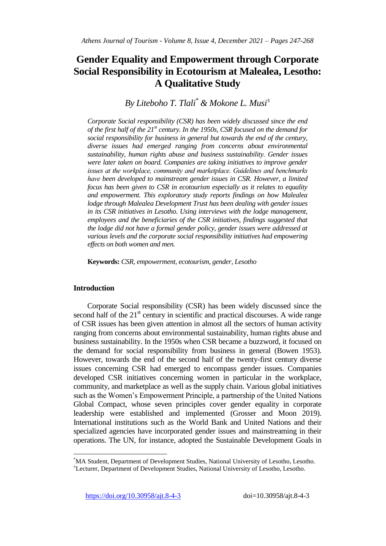# **Gender Equality and Empowerment through Corporate Social Responsibility in Ecotourism at Malealea, Lesotho: A Qualitative Study**

*By Liteboho T. Tlali\* & Mokone L. Musi<sup>±</sup>*

*Corporate Social responsibility (CSR) has been widely discussed since the end of the first half of the 21st century. In the 1950s, CSR focused on the demand for social responsibility for business in general but towards the end of the century, diverse issues had emerged ranging from concerns about environmental sustainability, human rights abuse and business sustainability. Gender issues were later taken on board. Companies are taking initiatives to improve gender issues at the workplace, community and marketplace. Guidelines and benchmarks have been developed to mainstream gender issues in CSR. However, a limited focus has been given to CSR in ecotourism especially as it relates to equality and empowerment. This exploratory study reports findings on how Malealea lodge through Malealea Development Trust has been dealing with gender issues in its CSR initiatives in Lesotho. Using interviews with the lodge management, employees and the beneficiaries of the CSR initiatives, findings suggested that the lodge did not have a formal gender policy, gender issues were addressed at various levels and the corporate social responsibility initiatives had empowering effects on both women and men.* 

**Keywords:** *CSR, empowerment, ecotourism, gender, Lesotho* 

## **Introduction**

 $\overline{\phantom{a}}$ 

Corporate Social responsibility (CSR) has been widely discussed since the second half of the  $21<sup>st</sup>$  century in scientific and practical discourses. A wide range of CSR issues has been given attention in almost all the sectors of human activity ranging from concerns about environmental sustainability, human rights abuse and business sustainability. In the 1950s when CSR became a buzzword, it focused on the demand for social responsibility from business in general (Bowen 1953). However, towards the end of the second half of the twenty-first century diverse issues concerning CSR had emerged to encompass gender issues. Companies developed CSR initiatives concerning women in particular in the workplace, community, and marketplace as well as the supply chain. Various global initiatives such as the Women"s Empowerment Principle, a partnership of the United Nations Global Compact, whose seven principles cover gender equality in corporate leadership were established and implemented (Grosser and Moon 2019). International institutions such as the World Bank and United Nations and their specialized agencies have incorporated gender issues and mainstreaming in their operations. The UN, for instance, adopted the Sustainable Development Goals in

<sup>\*</sup>MA Student, Department of Development Studies, National University of Lesotho, Lesotho. <sup>±</sup>Lecturer, Department of Development Studies, National University of Lesotho, Lesotho.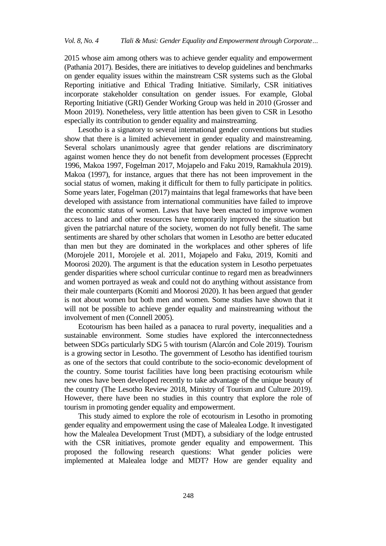2015 whose aim among others was to achieve gender equality and empowerment (Pathania 2017). Besides, there are initiatives to develop guidelines and benchmarks on gender equality issues within the mainstream CSR systems such as the Global Reporting initiative and Ethical Trading Initiative. Similarly, CSR initiatives incorporate stakeholder consultation on gender issues. For example, Global Reporting Initiative (GRI) Gender Working Group was held in 2010 (Grosser and Moon 2019). Nonetheless, very little attention has been given to CSR in Lesotho especially its contribution to gender equality and mainstreaming.

Lesotho is a signatory to several international gender conventions but studies show that there is a limited achievement in gender equality and mainstreaming. Several scholars unanimously agree that gender relations are discriminatory against women hence they do not benefit from development processes (Epprecht 1996, Makoa 1997, Fogelman 2017, Mojapelo and Faku 2019, Ramakhula 2019). Makoa (1997), for instance, argues that there has not been improvement in the social status of women, making it difficult for them to fully participate in politics. Some years later, Fogelman (2017) maintains that legal frameworks that have been developed with assistance from international communities have failed to improve the economic status of women. Laws that have been enacted to improve women access to land and other resources have temporarily improved the situation but given the patriarchal nature of the society, women do not fully benefit. The same sentiments are shared by other scholars that women in Lesotho are better educated than men but they are dominated in the workplaces and other spheres of life (Morojele 2011, Morojele et al. 2011, Mojapelo and Faku, 2019, Komiti and Moorosi 2020). The argument is that the education system in Lesotho perpetuates gender disparities where school curricular continue to regard men as breadwinners and women portrayed as weak and could not do anything without assistance from their male counterparts (Komiti and Moorosi 2020). It has been argued that gender is not about women but both men and women. Some studies have shown that it will not be possible to achieve gender equality and mainstreaming without the involvement of men (Connell 2005).

Ecotourism has been hailed as a panacea to rural poverty, inequalities and a sustainable environment. Some studies have explored the interconnectedness between SDGs particularly SDG 5 with tourism (Alarcón and Cole 2019). Tourism is a growing sector in Lesotho. The government of Lesotho has identified tourism as one of the sectors that could contribute to the socio-economic development of the country. Some tourist facilities have long been practising ecotourism while new ones have been developed recently to take advantage of the unique beauty of the country (The Lesotho Review 2018, Ministry of Tourism and Culture 2019). However, there have been no studies in this country that explore the role of tourism in promoting gender equality and empowerment.

This study aimed to explore the role of ecotourism in Lesotho in promoting gender equality and empowerment using the case of Malealea Lodge. It investigated how the Malealea Development Trust (MDT), a subsidiary of the lodge entrusted with the CSR initiatives, promote gender equality and empowerment. This proposed the following research questions: What gender policies were implemented at Malealea lodge and MDT? How are gender equality and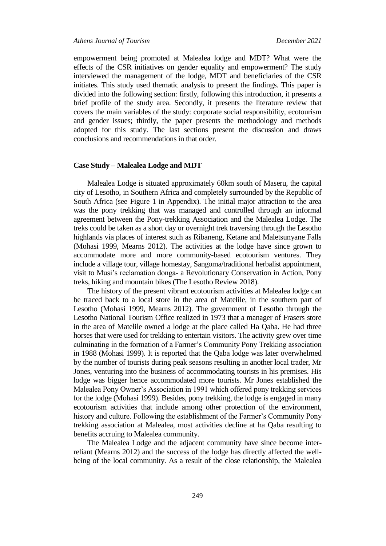empowerment being promoted at Malealea lodge and MDT? What were the effects of the CSR initiatives on gender equality and empowerment? The study interviewed the management of the lodge, MDT and beneficiaries of the CSR initiates. This study used thematic analysis to present the findings. This paper is divided into the following section: firstly, following this introduction, it presents a brief profile of the study area. Secondly, it presents the literature review that covers the main variables of the study: corporate social responsibility, ecotourism and gender issues; thirdly, the paper presents the methodology and methods adopted for this study. The last sections present the discussion and draws conclusions and recommendations in that order.

#### **Case Study** – **Malealea Lodge and MDT**

Malealea Lodge is situated approximately 60km south of Maseru, the capital city of Lesotho, in Southern Africa and completely surrounded by the Republic of South Africa (see Figure 1 in Appendix). The initial major attraction to the area was the pony trekking that was managed and controlled through an informal agreement between the Pony-trekking Association and the Malealea Lodge. The treks could be taken as a short day or overnight trek traversing through the Lesotho highlands via places of interest such as Ribaneng, Ketane and Maletsunyane Falls (Mohasi 1999, Mearns 2012). The activities at the lodge have since grown to accommodate more and more community-based ecotourism ventures. They include a village tour, village homestay, Sangoma/traditional herbalist appointment, visit to Musi"s reclamation donga- a Revolutionary Conservation in Action, Pony treks, hiking and mountain bikes (The Lesotho Review 2018).

The history of the present vibrant ecotourism activities at Malealea lodge can be traced back to a local store in the area of Matelile, in the southern part of Lesotho (Mohasi 1999, Mearns 2012). The government of Lesotho through the Lesotho National Tourism Office realized in 1973 that a manager of Frasers store in the area of Matelile owned a lodge at the place called Ha Qaba. He had three horses that were used for trekking to entertain visitors. The activity grew over time culminating in the formation of a Farmer"s Community Pony Trekking association in 1988 (Mohasi 1999). It is reported that the Qaba lodge was later overwhelmed by the number of tourists during peak seasons resulting in another local trader, Mr Jones, venturing into the business of accommodating tourists in his premises. His lodge was bigger hence accommodated more tourists. Mr Jones established the Malealea Pony Owner"s Association in 1991 which offered pony trekking services for the lodge (Mohasi 1999). Besides, pony trekking, the lodge is engaged in many ecotourism activities that include among other protection of the environment, history and culture. Following the establishment of the Farmer"s Community Pony trekking association at Malealea, most activities decline at ha Qaba resulting to benefits accruing to Malealea community.

The Malealea Lodge and the adjacent community have since become interreliant (Mearns 2012) and the success of the lodge has directly affected the wellbeing of the local community. As a result of the close relationship, the Malealea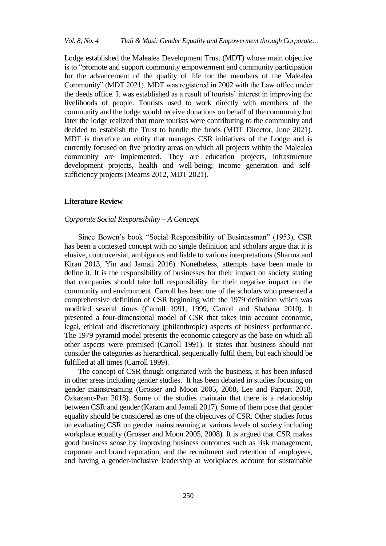Lodge established the Malealea Development Trust (MDT) whose main objective is to "promote and support community empowerment and community participation for the advancement of the quality of life for the members of the Malealea Community" (MDT 2021). MDT was registered in 2002 with the Law office under the deeds office. It was established as a result of tourists" interest in improving the livelihoods of people. Tourists used to work directly with members of the community and the lodge would receive donations on behalf of the community but later the lodge realized that more tourists were contributing to the community and decided to establish the Trust to handle the funds (MDT Director, June 2021). MDT is therefore an entity that manages CSR initiatives of the Lodge and is currently focused on five priority areas on which all projects within the Malealea community are implemented. They are education projects, infrastructure development projects, health and well-being; income generation and selfsufficiency projects (Mearns 2012, MDT 2021).

#### **Literature Review**

## *Corporate Social Responsibility* – *A Concept*

Since Bowen"s book "Social Responsibility of Businessman" (1953), CSR has been a contested concept with no single definition and scholars argue that it is elusive, controversial, ambiguous and liable to various interpretations (Sharma and Kiran 2013, Yin and Jamali 2016). Nonetheless, attempts have been made to define it. It is the responsibility of businesses for their impact on society stating that companies should take full responsibility for their negative impact on the community and environment. Carroll has been one of the scholars who presented a comprehensive definition of CSR beginning with the 1979 definition which was modified several times (Carroll 1991, 1999, Carroll and Shabana 2010). It presented a four-dimensional model of CSR that takes into account economic, legal, ethical and discretionary (philanthropic) aspects of business performance. The 1979 pyramid model presents the economic category as the base on which all other aspects were premised (Carroll 1991). It states that business should not consider the categories as hierarchical, sequentially fulfil them, but each should be fulfilled at all times (Carroll 1999).

The concept of CSR though originated with the business, it has been infused in other areas including gender studies. It has been debated in studies focusing on gender mainstreaming (Grosser and Moon 2005, 2008, Lee and Parpart 2018, Ozkazanc-Pan 2018). Some of the studies maintain that there is a relationship between CSR and gender (Karam and Jamali 2017). Some of them pose that gender equality should be considered as one of the objectives of CSR. Other studies focus on evaluating CSR on gender mainstreaming at various levels of society including workplace equality (Grosser and Moon 2005, 2008). It is argued that CSR makes good business sense by improving business outcomes such as risk management, corporate and brand reputation, and the recruitment and retention of employees, and having a gender-inclusive leadership at workplaces account for sustainable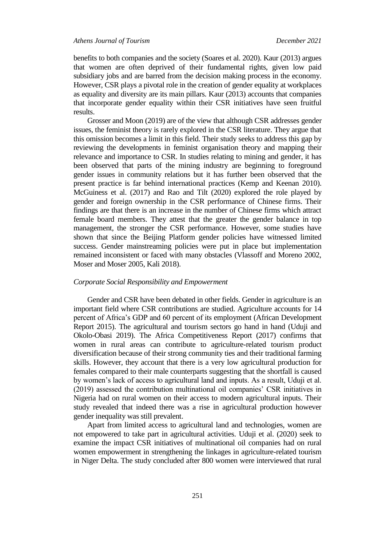benefits to both companies and the society (Soares et al. 2020). Kaur (2013) argues that women are often deprived of their fundamental rights, given low paid subsidiary jobs and are barred from the decision making process in the economy. However, CSR plays a pivotal role in the creation of gender equality at workplaces as equality and diversity are its main pillars. Kaur (2013) accounts that companies that incorporate gender equality within their CSR initiatives have seen fruitful results.

Grosser and Moon (2019) are of the view that although CSR addresses gender issues, the feminist theory is rarely explored in the CSR literature. They argue that this omission becomes a limit in this field. Their study seeks to address this gap by reviewing the developments in feminist organisation theory and mapping their relevance and importance to CSR. In studies relating to mining and gender, it has been observed that parts of the mining industry are beginning to foreground gender issues in community relations but it has further been observed that the present practice is far behind international practices (Kemp and Keenan 2010). McGuiness et al. (2017) and Rao and Tilt (2020) explored the role played by gender and foreign ownership in the CSR performance of Chinese firms. Their findings are that there is an increase in the number of Chinese firms which attract female board members. They attest that the greater the gender balance in top management, the stronger the CSR performance. However, some studies have shown that since the Beijing Platform gender policies have witnessed limited success. Gender mainstreaming policies were put in place but implementation remained inconsistent or faced with many obstacles (Vlassoff and Moreno 2002, Moser and Moser 2005, Kali 2018).

#### *Corporate Social Responsibility and Empowerment*

Gender and CSR have been debated in other fields. Gender in agriculture is an important field where CSR contributions are studied. Agriculture accounts for 14 percent of Africa"s GDP and 60 percent of its employment (African Development Report 2015). The agricultural and tourism sectors go hand in hand (Uduji and Okolo-Obasi 2019). The Africa Competitiveness Report (2017) confirms that women in rural areas can contribute to agriculture-related tourism product diversification because of their strong community ties and their traditional farming skills. However, they account that there is a very low agricultural production for females compared to their male counterparts suggesting that the shortfall is caused by women"s lack of access to agricultural land and inputs. As a result, Uduji et al. (2019) assessed the contribution multinational oil companies" CSR initiatives in Nigeria had on rural women on their access to modern agricultural inputs. Their study revealed that indeed there was a rise in agricultural production however gender inequality was still prevalent.

Apart from limited access to agricultural land and technologies, women are not empowered to take part in agricultural activities. Uduji et al. (2020) seek to examine the impact CSR initiatives of multinational oil companies had on rural women empowerment in strengthening the linkages in agriculture-related tourism in Niger Delta. The study concluded after 800 women were interviewed that rural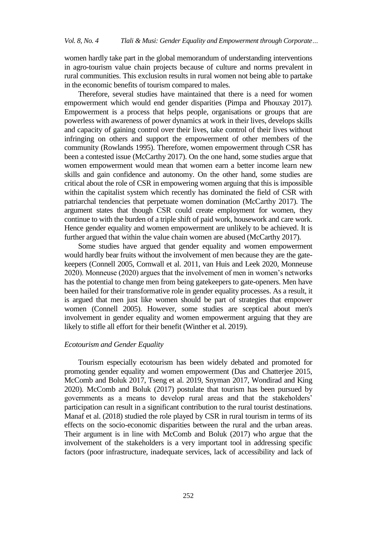women hardly take part in the global memorandum of understanding interventions in agro-tourism value chain projects because of culture and norms prevalent in rural communities. This exclusion results in rural women not being able to partake in the economic benefits of tourism compared to males.

Therefore, several studies have maintained that there is a need for women empowerment which would end gender disparities (Pimpa and Phouxay 2017). Empowerment is a process that helps people, organisations or groups that are powerless with awareness of power dynamics at work in their lives, develops skills and capacity of gaining control over their lives, take control of their lives without infringing on others and support the empowerment of other members of the community (Rowlands 1995). Therefore, women empowerment through CSR has been a contested issue (McCarthy 2017). On the one hand, some studies argue that women empowerment would mean that women earn a better income learn new skills and gain confidence and autonomy. On the other hand, some studies are critical about the role of CSR in empowering women arguing that this is impossible within the capitalist system which recently has dominated the field of CSR with patriarchal tendencies that perpetuate women domination (McCarthy 2017). The argument states that though CSR could create employment for women, they continue to with the burden of a triple shift of paid work, housework and care work. Hence gender equality and women empowerment are unlikely to be achieved. It is further argued that within the value chain women are abused (McCarthy 2017).

Some studies have argued that gender equality and women empowerment would hardly bear fruits without the involvement of men because they are the gatekeepers (Connell 2005, Cornwall et al. 2011, van Huis and Leek 2020, Monneuse 2020). Monneuse (2020) argues that the involvement of men in women"s networks has the potential to change men from being gatekeepers to gate-openers. Men have been hailed for their transformative role in gender equality processes. As a result, it is argued that men just like women should be part of strategies that empower women (Connell 2005). However, some studies are sceptical about men's involvement in gender equality and women empowerment arguing that they are likely to stifle all effort for their benefit (Winther et al. 2019).

## *Ecotourism and Gender Equality*

Tourism especially ecotourism has been widely debated and promoted for promoting gender equality and women empowerment (Das and Chatterjee 2015, McComb and Boluk 2017, Tseng et al. 2019, Snyman 2017, Wondirad and King 2020). McComb and Boluk (2017) postulate that tourism has been pursued by governments as a means to develop rural areas and that the stakeholders" participation can result in a significant contribution to the rural tourist destinations. Manaf et al. (2018) studied the role played by CSR in rural tourism in terms of its effects on the socio-economic disparities between the rural and the urban areas. Their argument is in line with McComb and Boluk (2017) who argue that the involvement of the stakeholders is a very important tool in addressing specific factors (poor infrastructure, inadequate services, lack of accessibility and lack of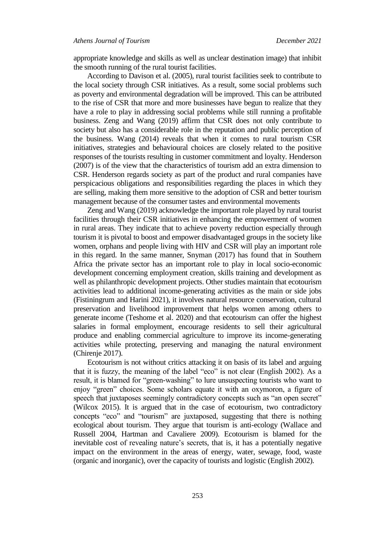appropriate knowledge and skills as well as unclear destination image) that inhibit the smooth running of the rural tourist facilities.

According to Davison et al. (2005), rural tourist facilities seek to contribute to the local society through CSR initiatives. As a result, some social problems such as poverty and environmental degradation will be improved. This can be attributed to the rise of CSR that more and more businesses have begun to realize that they have a role to play in addressing social problems while still running a profitable business. Zeng and Wang (2019) affirm that CSR does not only contribute to society but also has a considerable role in the reputation and public perception of the business. Wang (2014) reveals that when it comes to rural tourism CSR initiatives, strategies and behavioural choices are closely related to the positive responses of the tourists resulting in customer commitment and loyalty. Henderson (2007) is of the view that the characteristics of tourism add an extra dimension to CSR. Henderson regards society as part of the product and rural companies have perspicacious obligations and responsibilities regarding the places in which they are selling, making them more sensitive to the adoption of CSR and better tourism management because of the consumer tastes and environmental movements

Zeng and Wang (2019) acknowledge the important role played by rural tourist facilities through their CSR initiatives in enhancing the empowerment of women in rural areas. They indicate that to achieve poverty reduction especially through tourism it is pivotal to boost and empower disadvantaged groups in the society like women, orphans and people living with HIV and CSR will play an important role in this regard. In the same manner, Snyman (2017) has found that in Southern Africa the private sector has an important role to play in local socio-economic development concerning employment creation, skills training and development as well as philanthropic development projects. Other studies maintain that ecotourism activities lead to additional income-generating activities as the main or side jobs (Fistiningrum and Harini 2021), it involves natural resource conservation, cultural preservation and livelihood improvement that helps women among others to generate income (Teshome et al. 2020) and that ecotourism can offer the highest salaries in formal employment, encourage residents to sell their agricultural produce and enabling commercial agriculture to improve its income-generating activities while protecting, preserving and managing the natural environment (Chirenje 2017).

Ecotourism is not without critics attacking it on basis of its label and arguing that it is fuzzy, the meaning of the label "eco" is not clear (English 2002). As a result, it is blamed for "green-washing" to lure unsuspecting tourists who want to enjoy "green" choices. Some scholars equate it with an oxymoron, a figure of speech that juxtaposes seemingly contradictory concepts such as "an open secret" (Wilcox 2015). It is argued that in the case of ecotourism, two contradictory concepts "eco" and "tourism" are juxtaposed, suggesting that there is nothing ecological about tourism. They argue that tourism is anti-ecology (Wallace and Russell 2004, Hartman and Cavaliere 2009). Ecotourism is blamed for the inevitable cost of revealing nature's secrets, that is, it has a potentially negative impact on the environment in the areas of energy, water, sewage, food, waste (organic and inorganic), over the capacity of tourists and logistic (English 2002).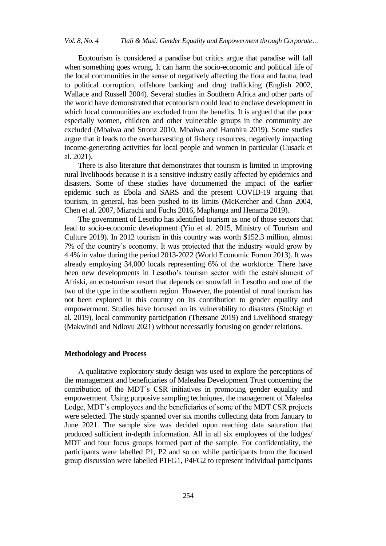Ecotourism is considered a paradise but critics argue that paradise will fall when something goes wrong. It can harm the socio-economic and political life of the local communities in the sense of negatively affecting the flora and fauna, lead to political corruption, offshore banking and drug trafficking (English 2002, Wallace and Russell 2004). Several studies in Southern Africa and other parts of the world have demonstrated that ecotourism could lead to enclave development in which local communities are excluded from the benefits. It is argued that the poor especially women, children and other vulnerable groups in the community are excluded (Mbaiwa and Stronz 2010, Mbaiwa and Hambira 2019). Some studies argue that it leads to the overharvesting of fishery resources, negatively impacting income-generating activities for local people and women in particular (Cusack et al. 2021).

There is also literature that demonstrates that tourism is limited in improving rural livelihoods because it is a sensitive industry easily affected by epidemics and disasters. Some of these studies have documented the impact of the earlier epidemic such as Ebola and SARS and the present COVID-19 arguing that tourism, in general, has been pushed to its limits (McKercher and Chon 2004, Chen et al. 2007, Mizrachi and Fuchs 2016, Maphanga and Henama 2019).

The government of Lesotho has identified tourism as one of those sectors that lead to socio-economic development (Yiu et al. 2015, Ministry of Tourism and Culture 2019). In 2012 tourism in this country was worth \$152.3 million, almost 7% of the country"s economy. It was projected that the industry would grow by 4.4% in value during the period 2013-2022 (World Economic Forum 2013). It was already employing 34,000 locals representing 6% of the workforce. There have been new developments in Lesotho"s tourism sector with the establishment of Afriski, an eco-tourism resort that depends on snowfall in Lesotho and one of the two of the type in the southern region. However, the potential of rural tourism has not been explored in this country on its contribution to gender equality and empowerment. Studies have focused on its vulnerability to disasters (Stockigt et al. 2019), local community participation (Thetsane 2019) and Livelihood strategy (Makwindi and Ndlovu 2021) without necessarily focusing on gender relations.

## **Methodology and Process**

A qualitative exploratory study design was used to explore the perceptions of the management and beneficiaries of Malealea Development Trust concerning the contribution of the MDT"s CSR initiatives in promoting gender equality and empowerment. Using purposive sampling techniques, the management of Malealea Lodge, MDT"s employees and the beneficiaries of some of the MDT CSR projects were selected. The study spanned over six months collecting data from January to June 2021. The sample size was decided upon reaching data saturation that produced sufficient in-depth information. All in all six employees of the lodges/ MDT and four focus groups formed part of the sample. For confidentiality, the participants were labelled P1, P2 and so on while participants from the focused group discussion were labelled P1FG1, P4FG2 to represent individual participants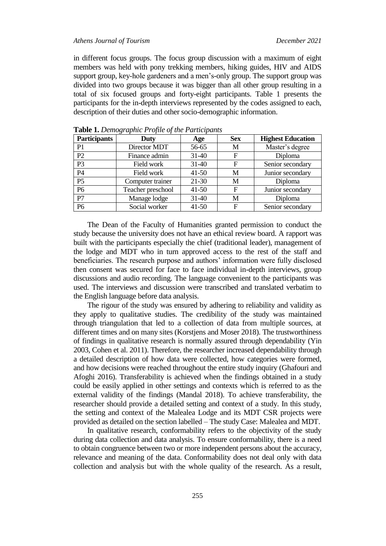#### *Athens Journal of Tourism December 2021*

in different focus groups. The focus group discussion with a maximum of eight members was held with pony trekking members, hiking guides, HIV and AIDS support group, key-hole gardeners and a men"s-only group. The support group was divided into two groups because it was bigger than all other group resulting in a total of six focused groups and forty-eight participants. Table 1 presents the participants for the in-depth interviews represented by the codes assigned to each, description of their duties and other socio-demographic information.

| <b>Participants</b> | Duty              | Age       | <b>Sex</b>  | <b>Highest Education</b> |
|---------------------|-------------------|-----------|-------------|--------------------------|
| P <sub>1</sub>      | Director MDT      | 56-65     | M           | Master's degree          |
| P2                  | Finance admin     | $31-40$   | F           | Diploma                  |
| P <sub>3</sub>      | Field work        | $31-40$   | $\mathbf F$ | Senior secondary         |
| P4                  | Field work        | $41 - 50$ | M           | Junior secondary         |
| P <sub>5</sub>      | Computer trainer  | $21-30$   | M           | Diploma                  |
| P <sub>6</sub>      | Teacher preschool | $41 - 50$ | F           | Junior secondary         |
| P7                  | Manage lodge      | $31-40$   | M           | Diploma                  |
| P <sub>6</sub>      | Social worker     | $41 - 50$ | F           | Senior secondary         |

**Table 1.** *Demographic Profile of the Participants*

The Dean of the Faculty of Humanities granted permission to conduct the study because the university does not have an ethical review board. A rapport was built with the participants especially the chief (traditional leader), management of the lodge and MDT who in turn approved access to the rest of the staff and beneficiaries. The research purpose and authors' information were fully disclosed then consent was secured for face to face individual in-depth interviews, group discussions and audio recording. The language convenient to the participants was used. The interviews and discussion were transcribed and translated verbatim to the English language before data analysis.

The rigour of the study was ensured by adhering to reliability and validity as they apply to qualitative studies. The credibility of the study was maintained through triangulation that led to a collection of data from multiple sources, at different times and on many sites (Korstjens and Moser 2018). The trustworthiness of findings in qualitative research is normally assured through dependability (Yin 2003, Cohen et al. 2011). Therefore, the researcher increased dependability through a detailed description of how data were collected, how categories were formed, and how decisions were reached throughout the entire study inquiry (Ghafouri and Afoghi 2016). Transferability is achieved when the findings obtained in a study could be easily applied in other settings and contexts which is referred to as the external validity of the findings (Mandal 2018). To achieve transferability, the researcher should provide a detailed setting and context of a study. In this study, the setting and context of the Malealea Lodge and its MDT CSR projects were provided as detailed on the section labelled – The study Case: Malealea and MDT.

In qualitative research, conformability refers to the objectivity of the study during data collection and data analysis. To ensure conformability, there is a need to obtain congruence between two or more independent persons about the accuracy, relevance and meaning of the data. Conformability does not deal only with data collection and analysis but with the whole quality of the research. As a result,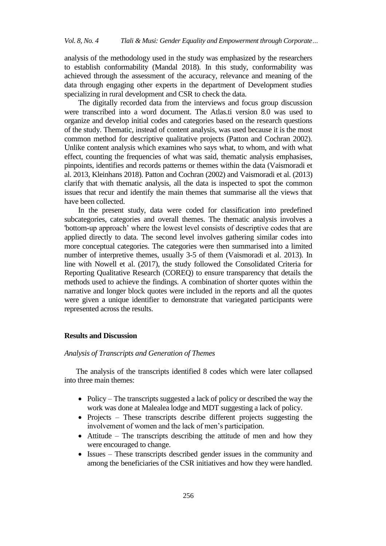analysis of the methodology used in the study was emphasized by the researchers to establish conformability (Mandal 2018). In this study, conformability was achieved through the assessment of the accuracy, relevance and meaning of the data through engaging other experts in the department of Development studies specializing in rural development and CSR to check the data.

The digitally recorded data from the interviews and focus group discussion were transcribed into a word document. The Atlas.ti version 8.0 was used to organize and develop initial codes and categories based on the research questions of the study. Thematic, instead of content analysis, was used because it is the most common method for descriptive qualitative projects (Patton and Cochran 2002). Unlike content analysis which examines who says what, to whom, and with what effect, counting the frequencies of what was said, thematic analysis emphasises, pinpoints, identifies and records patterns or themes within the data (Vaismoradi et al. 2013, Kleinhans 2018). Patton and Cochran (2002) and Vaismoradi et al. (2013) clarify that with thematic analysis, all the data is inspected to spot the common issues that recur and identify the main themes that summarise all the views that have been collected.

In the present study, data were coded for classification into predefined subcategories, categories and overall themes. The thematic analysis involves a 'bottom-up approach" where the lowest level consists of descriptive codes that are applied directly to data. The second level involves gathering similar codes into more conceptual categories. The categories were then summarised into a limited number of interpretive themes, usually 3-5 of them (Vaismoradi et al. 2013). In line with Nowell et al. (2017), the study followed the Consolidated Criteria for Reporting Qualitative Research (COREQ) to ensure transparency that details the methods used to achieve the findings. A combination of shorter quotes within the narrative and longer block quotes were included in the reports and all the quotes were given a unique identifier to demonstrate that variegated participants were represented across the results.

#### **Results and Discussion**

## *Analysis of Transcripts and Generation of Themes*

The analysis of the transcripts identified 8 codes which were later collapsed into three main themes:

- Policy The transcripts suggested a lack of policy or described the way the work was done at Malealea lodge and MDT suggesting a lack of policy.
- Projects These transcripts describe different projects suggesting the involvement of women and the lack of men"s participation.
- $\bullet$  Attitude The transcripts describing the attitude of men and how they were encouraged to change.
- Issues These transcripts described gender issues in the community and among the beneficiaries of the CSR initiatives and how they were handled.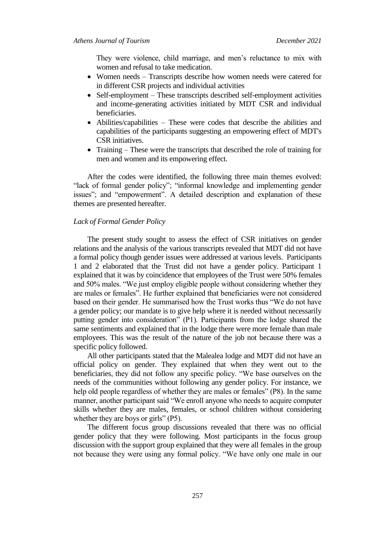They were violence, child marriage, and men's reluctance to mix with women and refusal to take medication.

- Women needs Transcripts describe how women needs were catered for in different CSR projects and individual activities
- Self-employment These transcripts described self-employment activities and income-generating activities initiated by MDT CSR and individual beneficiaries.
- Abilities/capabilities These were codes that describe the abilities and capabilities of the participants suggesting an empowering effect of MDT's CSR initiatives.
- Training These were the transcripts that described the role of training for men and women and its empowering effect.

After the codes were identified, the following three main themes evolved: "lack of formal gender policy"; "informal knowledge and implementing gender issues"; and "empowerment". A detailed description and explanation of these themes are presented hereafter.

#### *Lack of Formal Gender Policy*

The present study sought to assess the effect of CSR initiatives on gender relations and the analysis of the various transcripts revealed that MDT did not have a formal policy though gender issues were addressed at various levels. Participants 1 and 2 elaborated that the Trust did not have a gender policy. Participant 1 explained that it was by coincidence that employees of the Trust were 50% females and 50% males. "We just employ eligible people without considering whether they are males or females". He further explained that beneficiaries were not considered based on their gender. He summarised how the Trust works thus "We do not have a gender policy; our mandate is to give help where it is needed without necessarily putting gender into consideration" (P1). Participants from the lodge shared the same sentiments and explained that in the lodge there were more female than male employees. This was the result of the nature of the job not because there was a specific policy followed.

All other participants stated that the Malealea lodge and MDT did not have an official policy on gender. They explained that when they went out to the beneficiaries, they did not follow any specific policy. "We base ourselves on the needs of the communities without following any gender policy. For instance, we help old people regardless of whether they are males or females" (P8). In the same manner, another participant said "We enroll anyone who needs to acquire computer skills whether they are males, females, or school children without considering whether they are boys or girls" (P5).

The different focus group discussions revealed that there was no official gender policy that they were following. Most participants in the focus group discussion with the support group explained that they were all females in the group not because they were using any formal policy. "We have only one male in our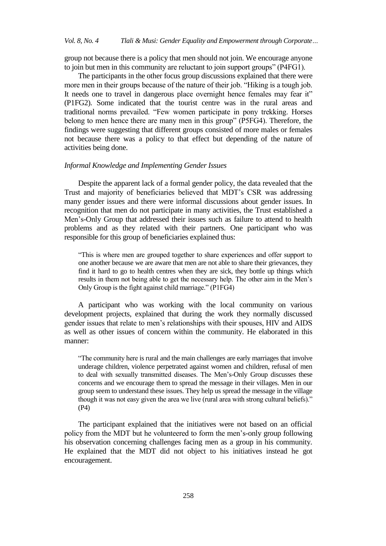group not because there is a policy that men should not join. We encourage anyone to join but men in this community are reluctant to join support groups" (P4FG1).

The participants in the other focus group discussions explained that there were more men in their groups because of the nature of their job. "Hiking is a tough job. It needs one to travel in dangerous place overnight hence females may fear it" (P1FG2). Some indicated that the tourist centre was in the rural areas and traditional norms prevailed. "Few women participate in pony trekking. Horses belong to men hence there are many men in this group" (P5FG4). Therefore, the findings were suggesting that different groups consisted of more males or females not because there was a policy to that effect but depending of the nature of activities being done.

#### *Informal Knowledge and Implementing Gender Issues*

Despite the apparent lack of a formal gender policy, the data revealed that the Trust and majority of beneficiaries believed that MDT"s CSR was addressing many gender issues and there were informal discussions about gender issues. In recognition that men do not participate in many activities, the Trust established a Men"s-Only Group that addressed their issues such as failure to attend to health problems and as they related with their partners. One participant who was responsible for this group of beneficiaries explained thus:

"This is where men are grouped together to share experiences and offer support to one another because we are aware that men are not able to share their grievances, they find it hard to go to health centres when they are sick, they bottle up things which results in them not being able to get the necessary help. The other aim in the Men"s Only Group is the fight against child marriage." (P1FG4)

A participant who was working with the local community on various development projects, explained that during the work they normally discussed gender issues that relate to men"s relationships with their spouses, HIV and AIDS as well as other issues of concern within the community. He elaborated in this manner:

"The community here is rural and the main challenges are early marriages that involve underage children, violence perpetrated against women and children, refusal of men to deal with sexually transmitted diseases. The Men"s-Only Group discusses these concerns and we encourage them to spread the message in their villages. Men in our group seem to understand these issues. They help us spread the message in the village though it was not easy given the area we live (rural area with strong cultural beliefs)." (P4)

The participant explained that the initiatives were not based on an official policy from the MDT but he volunteered to form the men"s-only group following his observation concerning challenges facing men as a group in his community. He explained that the MDT did not object to his initiatives instead he got encouragement.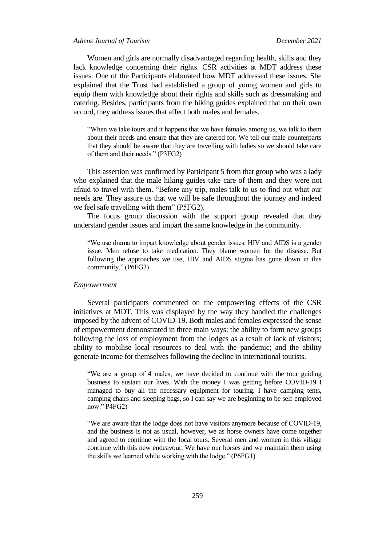## *Athens Journal of Tourism December 2021*

Women and girls are normally disadvantaged regarding health, skills and they lack knowledge concerning their rights. CSR activities at MDT address these issues. One of the Participants elaborated how MDT addressed these issues. She explained that the Trust had established a group of young women and girls to equip them with knowledge about their rights and skills such as dressmaking and catering. Besides, participants from the hiking guides explained that on their own accord, they address issues that affect both males and females.

"When we take tours and it happens that we have females among us, we talk to them about their needs and ensure that they are catered for. We tell our male counterparts that they should be aware that they are travelling with ladies so we should take care of them and their needs." (P3FG2)

This assertion was confirmed by Participant 5 from that group who was a lady who explained that the male hiking guides take care of them and they were not afraid to travel with them. "Before any trip, males talk to us to find out what our needs are. They assure us that we will be safe throughout the journey and indeed we feel safe travelling with them" (P5FG2).

The focus group discussion with the support group revealed that they understand gender issues and impart the same knowledge in the community.

"We use drama to impart knowledge about gender issues. HIV and AIDS is a gender issue. Men refuse to take medication. They blame women for the disease. But following the approaches we use, HIV and AIDS stigma has gone down in this community." (P6FG3)

#### *Empowerment*

Several participants commented on the empowering effects of the CSR initiatives at MDT. This was displayed by the way they handled the challenges imposed by the advent of COVID-19. Both males and females expressed the sense of empowerment demonstrated in three main ways: the ability to form new groups following the loss of employment from the lodges as a result of lack of visitors; ability to mobilise local resources to deal with the pandemic; and the ability generate income for themselves following the decline in international tourists.

"We are a group of 4 males, we have decided to continue with the tour guiding business to sustain our lives. With the money I was getting before COVID-19 I managed to buy all the necessary equipment for touring. I have camping tents, camping chairs and sleeping bags, so I can say we are beginning to be self-employed now." P4FG2)

"We are aware that the lodge does not have visitors anymore because of COVID-19, and the business is not as usual, however, we as horse owners have come together and agreed to continue with the local tours. Several men and women in this village continue with this new endeavour. We have our horses and we maintain them using the skills we learned while working with the lodge." (P6FG1)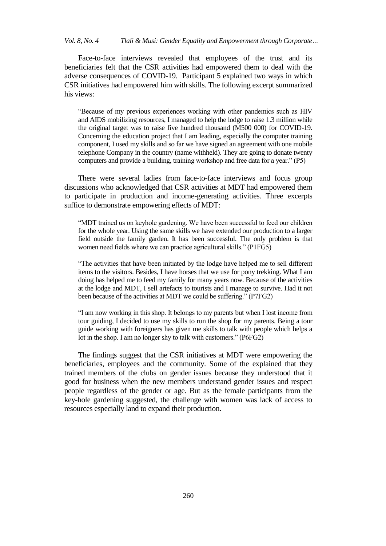Face-to-face interviews revealed that employees of the trust and its beneficiaries felt that the CSR activities had empowered them to deal with the adverse consequences of COVID-19. Participant 5 explained two ways in which CSR initiatives had empowered him with skills. The following excerpt summarized his views:

"Because of my previous experiences working with other pandemics such as HIV and AIDS mobilizing resources, I managed to help the lodge to raise 1.3 million while the original target was to raise five hundred thousand (M500 000) for COVID-19. Concerning the education project that I am leading, especially the computer training component, I used my skills and so far we have signed an agreement with one mobile telephone Company in the country (name withheld). They are going to donate twenty computers and provide a building, training workshop and free data for a year." (P5)

There were several ladies from face-to-face interviews and focus group discussions who acknowledged that CSR activities at MDT had empowered them to participate in production and income-generating activities. Three excerpts suffice to demonstrate empowering effects of MDT:

"MDT trained us on keyhole gardening. We have been successful to feed our children for the whole year. Using the same skills we have extended our production to a larger field outside the family garden. It has been successful. The only problem is that women need fields where we can practice agricultural skills." (P1FG5)

"The activities that have been initiated by the lodge have helped me to sell different items to the visitors. Besides, I have horses that we use for pony trekking. What I am doing has helped me to feed my family for many years now. Because of the activities at the lodge and MDT, I sell artefacts to tourists and I manage to survive. Had it not been because of the activities at MDT we could be suffering." (P7FG2)

"I am now working in this shop. It belongs to my parents but when I lost income from tour guiding, I decided to use my skills to run the shop for my parents. Being a tour guide working with foreigners has given me skills to talk with people which helps a lot in the shop. I am no longer shy to talk with customers." (P6FG2)

The findings suggest that the CSR initiatives at MDT were empowering the beneficiaries, employees and the community. Some of the explained that they trained members of the clubs on gender issues because they understood that it good for business when the new members understand gender issues and respect people regardless of the gender or age. But as the female participants from the key-hole gardening suggested, the challenge with women was lack of access to resources especially land to expand their production.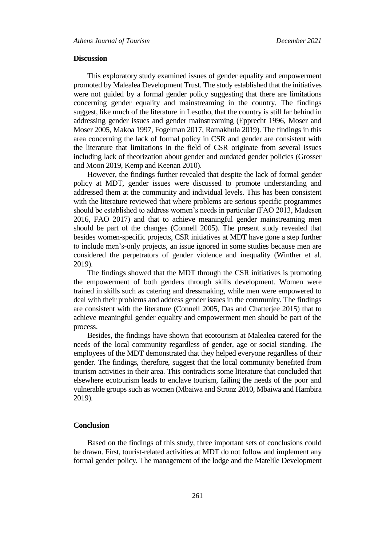#### **Discussion**

This exploratory study examined issues of gender equality and empowerment promoted by Malealea Development Trust. The study established that the initiatives were not guided by a formal gender policy suggesting that there are limitations concerning gender equality and mainstreaming in the country. The findings suggest, like much of the literature in Lesotho, that the country is still far behind in addressing gender issues and gender mainstreaming (Epprecht 1996, Moser and Moser 2005, Makoa 1997, Fogelman 2017, Ramakhula 2019). The findings in this area concerning the lack of formal policy in CSR and gender are consistent with the literature that limitations in the field of CSR originate from several issues including lack of theorization about gender and outdated gender policies (Grosser and Moon 2019, Kemp and Keenan 2010).

However, the findings further revealed that despite the lack of formal gender policy at MDT, gender issues were discussed to promote understanding and addressed them at the community and individual levels. This has been consistent with the literature reviewed that where problems are serious specific programmes should be established to address women's needs in particular (FAO 2013, Madesen 2016, FAO 2017) and that to achieve meaningful gender mainstreaming men should be part of the changes (Connell 2005). The present study revealed that besides women-specific projects, CSR initiatives at MDT have gone a step further to include men"s-only projects, an issue ignored in some studies because men are considered the perpetrators of gender violence and inequality (Winther et al. 2019).

The findings showed that the MDT through the CSR initiatives is promoting the empowerment of both genders through skills development. Women were trained in skills such as catering and dressmaking, while men were empowered to deal with their problems and address gender issues in the community. The findings are consistent with the literature (Connell 2005, Das and Chatterjee 2015) that to achieve meaningful gender equality and empowerment men should be part of the process.

Besides, the findings have shown that ecotourism at Malealea catered for the needs of the local community regardless of gender, age or social standing. The employees of the MDT demonstrated that they helped everyone regardless of their gender. The findings, therefore, suggest that the local community benefited from tourism activities in their area. This contradicts some literature that concluded that elsewhere ecotourism leads to enclave tourism, failing the needs of the poor and vulnerable groups such as women (Mbaiwa and Stronz 2010, Mbaiwa and Hambira 2019).

## **Conclusion**

Based on the findings of this study, three important sets of conclusions could be drawn. First, tourist-related activities at MDT do not follow and implement any formal gender policy. The management of the lodge and the Matelile Development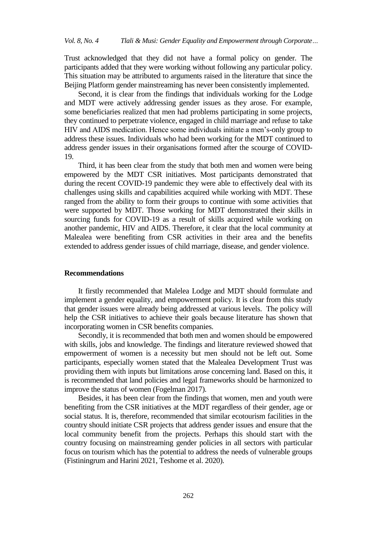Trust acknowledged that they did not have a formal policy on gender. The participants added that they were working without following any particular policy. This situation may be attributed to arguments raised in the literature that since the Beijing Platform gender mainstreaming has never been consistently implemented.

Second, it is clear from the findings that individuals working for the Lodge and MDT were actively addressing gender issues as they arose. For example, some beneficiaries realized that men had problems participating in some projects, they continued to perpetrate violence, engaged in child marriage and refuse to take HIV and AIDS medication. Hence some individuals initiate a men"s-only group to address these issues. Individuals who had been working for the MDT continued to address gender issues in their organisations formed after the scourge of COVID-19.

Third, it has been clear from the study that both men and women were being empowered by the MDT CSR initiatives. Most participants demonstrated that during the recent COVID-19 pandemic they were able to effectively deal with its challenges using skills and capabilities acquired while working with MDT. These ranged from the ability to form their groups to continue with some activities that were supported by MDT. Those working for MDT demonstrated their skills in sourcing funds for COVID-19 as a result of skills acquired while working on another pandemic, HIV and AIDS. Therefore, it clear that the local community at Malealea were benefiting from CSR activities in their area and the benefits extended to address gender issues of child marriage, disease, and gender violence.

### **Recommendations**

It firstly recommended that Malelea Lodge and MDT should formulate and implement a gender equality, and empowerment policy. It is clear from this study that gender issues were already being addressed at various levels. The policy will help the CSR initiatives to achieve their goals because literature has shown that incorporating women in CSR benefits companies.

Secondly, it is recommended that both men and women should be empowered with skills, jobs and knowledge. The findings and literature reviewed showed that empowerment of women is a necessity but men should not be left out. Some participants, especially women stated that the Malealea Development Trust was providing them with inputs but limitations arose concerning land. Based on this, it is recommended that land policies and legal frameworks should be harmonized to improve the status of women (Fogelman 2017).

Besides, it has been clear from the findings that women, men and youth were benefiting from the CSR initiatives at the MDT regardless of their gender, age or social status. It is, therefore, recommended that similar ecotourism facilities in the country should initiate CSR projects that address gender issues and ensure that the local community benefit from the projects. Perhaps this should start with the country focusing on mainstreaming gender policies in all sectors with particular focus on tourism which has the potential to address the needs of vulnerable groups (Fistiningrum and Harini 2021, Teshome et al. 2020).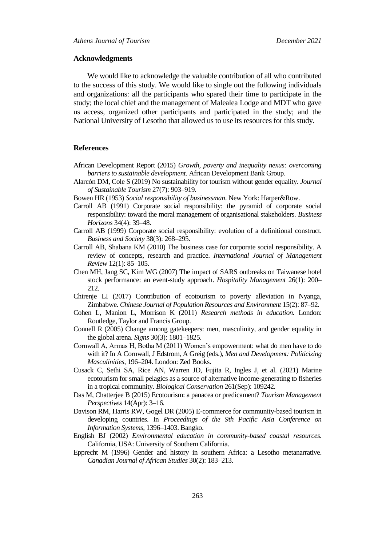#### **Acknowledgments**

We would like to acknowledge the valuable contribution of all who contributed to the success of this study. We would like to single out the following individuals and organizations: all the participants who spared their time to participate in the study; the local chief and the management of Malealea Lodge and MDT who gave us access, organized other participants and participated in the study; and the National University of Lesotho that allowed us to use its resources for this study.

## **References**

- African Development Report (2015) *Growth, poverty and inequality nexus: overcoming barriers to sustainable development*[. African](http://www.afdb.org/) Development Bank Group.
- Alarcón DM, Cole S (2019) No sustainability for tourism without gender equality. *Journal of Sustainable Tourism* 27(7): 903–919.
- Bowen HR (1953) *Social responsibility of businessman*. New York: Harper&Row.
- Carroll AB (1991) Corporate social responsibility: the pyramid of corporate social responsibility: toward the moral management of organisational stakeholders. *Business Horizons* 34(4): 39–48.
- Carroll AB (1999) Corporate social responsibility: evolution of a definitional construct. *Business and Society* 38(3): 268–295.
- Carroll AB, Shabana KM (2010) The business case for corporate social responsibility. A review of concepts, research and practice. *International Journal of Management Review* 12(1): 85–105.
- Chen MH, Jang SC, Kim WG (2007) The impact of SARS outbreaks on Taiwanese hotel stock performance: an event-study approach. *Hospitality Management* 26(1): 200– 212.
- Chirenje LI (2017) Contribution of ecotourism to poverty alleviation in Nyanga, Zimbabwe. *Chinese Journal of Population Resources and Environment* 15(2): 87–92.
- Cohen L, Manion L, Morrison K (2011) *Research methods in education.* London: Routledge, Taylor and Francis Group.
- Connell R (2005) Change among gatekeepers: men, masculinity, and gender equality in the global arena. *Signs* 30(3): 1801–1825.
- Cornwall A, Armas H, Botha M (2011) Women"s empowerment: what do men have to do with it? In A Cornwall, J Edstrom, A Greig (eds.), *Men and Development: Politicizing Masculinities*, 196–204. London: Zed Books.
- Cusack C, Sethi SA, Rice AN, Warren JD, Fujita R, Ingles J, et al. (2021) Marine ecotourism for small pelagics as a source of alternative income-generating to fisheries in a tropical community. *Biological Conservation* 261(Sep): 109242.
- Das M, Chatterjee B (2015) Ecotourism: a panacea or predicament? *Tourism Management Perspectives* 14(Apr): 3–16.
- Davison RM, Harris RW, Gogel DR (2005) E-commerce for community-based tourism in developing countries. In *Proceedings of the 9th Pacific Asia Conference on Information Systems*, 1396–1403. Bangko.
- English BJ (2002) *Environmental education in community-based coastal resources.* California, USA: University of Southern California.
- Epprecht M (1996) Gender and history in southern Africa: a Lesotho metanarrative. *Canadian Journal of African Studies* 30(2): 183–213.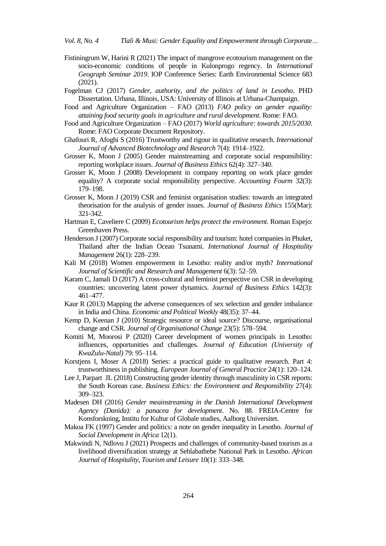- Fistiningrum W, Harini R (2021) The impact of mangrove ecotourism management on the socio-economic conditions of people in Kulonprogo regency. In *International Geograph Seminar 2019*. IOP Conference Series: Earth Environmental Science 683 (2021).
- Fogelman CJ (2017) *Gender, authority, and the politics of land in Lesotho*. PHD Dissertation[. Urbana,](http://hdl.handle.net/2142/98153) Illinois, USA: University of Illinois at Urbana-Champaign.
- Food and Agriculture Organization FAO (2013) *FAO policy on gender equality: attaining food security goals in agriculture and rural development*. Rome: FAO.
- Food and Agriculture Organization FAO (2017) *World agriculture: towards 2015/2030*. Rome: FAO Corporate Document Repository.
- Ghafouri R, Afoghi S (2016) Trustworthy and rigour in qualitative research. *International Journal of Advanced Biotechnology and Research* 7(4): 1914–1922.
- Grosser K, Moon J (2005) Gender mainstreaming and corporate social responsibility: reporting workplace issues. *Journal of Business Ethics* 62(4): 327–340.
- Grosser K, Moon J (2008) Development in company reporting on work place gender equality? A corporate social responsibility perspective. *Accounting Fourm* 32(3): 179–198.
- Grosser K, Moon J (2019) CSR and feminist organisation studies: towards an integrated theorisation for the analysis of gender issues. *Journal of Business Ethics* 155(Mar): 321-342.
- Hartman E, Caveliere C (2009) *Ecotourism helps protect the environment.* Roman Espejo: Greenhaven Press.
- Henderson J (2007) Corporate social responsibility and tourism: hotel companies in Phuket, Thailand after the Indian Ocean Tsunami. *International Journal of Hospitality Management* 26(1): 228–239.
- Kali M (2018) Women empowerment in Lesotho: reality and/or myth? *International Journal of Scientific and Research and Management* 6(3): 52–59.
- Karam C, Jamali D (2017) A cross-cultural and feminist perspective on CSR in developing countries: uncovering latent power dynamics. *Journal of Business Ethics* 142(3): 461–477.
- Kaur R (2013) Mapping the adverse consequences of sex selection and gender imbalance in India and China. *Economic and Political Weekly* 48(35): 37–44.
- Kemp D, Keenan J (2010) Strategic resource or ideal source? Discourse, organisational change and CSR. *Journal of Organisational Change* 23(5): 578–594.
- Komiti M, Moorosi P (2020) Career development of women principals in Lesotho: influences, opportunities and challenges. *Journal of Education (University of KwaZulu-Natal)* 79: 95–114.
- Korstjens I, Moser A (2018) Series: a practical guide to qualitative research. Part 4: trustworthiness in publishing. *European Journal of General Practice* 24(1): 120–124.
- Lee J, Parpart JL (2018) Constructing gender identity through masculinity in CSR reports: the South Korean case. *Business Ethics: the Environment and Responsibility* 27(4): 309–323.
- Madesen DH (2016) *Gender meainstreaming in the Danish International Development Agency (Danida): a panacea for development*. No. 88. FREIA-Centre for Konsforskning, Institu for Kultur of Globale studies, Aalborg Universitet.
- Makoa FK (1997) Gender and politics: a note on gender inequality in Lesotho. *Journal of Social Development in Africa* 12(1).
- Makwindi N, Ndlovu J (2021) Prospects and challenges of community-based tourism as a livelihood diversification strategy at Sehlabathebe National Park in Lesotho. *African Journal of Hospitality, Tourism and Leisure* 10(1): 333–348.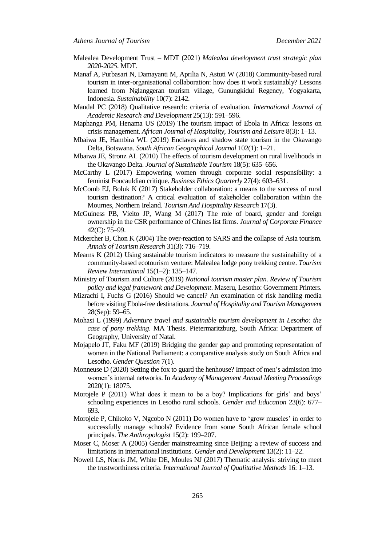- Malealea Development Trust MDT (2021) *Malealea development trust strategic plan 2020-2025*. MDT.
- Manaf A, Purbasari N, Damayanti M, Aprilia N, Astuti W (2018) Community-based rural tourism in inter-organisational collaboration: how does it work sustainably? Lessons learned from Nglanggeran tourism village, Gunungkidul Regency, Yogyakarta, Indonesia. *Sustainability* 10(7): 2142.
- Mandal PC (2018) Qualitative research: criteria of evaluation. *International Journal of Academic Research and Development* 25(13): 591–596.
- Maphanga PM, Henama US (2019) The tourism impact of Ebola in Africa: lessons on crisis management. *African Journal of Hospitality, Tourism and Leisure* 8(3): 1–13.
- Mbaiwa JE, Hambira WL (2019) Enclaves and shadow state tourism in the Okavango Delta, Botswana. *South African Geographical Journal* 102(1): 1–21.
- Mbaiwa JE, Stronz AL (2010) The effects of tourism development on rural livelihoods in the Okavango Delta. *Journal of Sustainable Tourism* 18(5): 635–656.
- McCarthy L (2017) Empowering women through corporate social responsibility: a feminist Foucauldian critique. *Business Ethics Quarterly* 27(4): 603–631.
- McComb EJ, Boluk K (2017) Stakeholder collaboration: a means to the success of rural tourism destination? A critical evaluation of stakeholder collaboration within the Mournes, Northern Ireland. *Tourism And Hospitality Research* 17(3).
- McGuiness PB, Vieito JP, Wang M (2017) The role of board, gender and foreign ownership in the CSR performance of Chines list firms. *Journal of Corporate Finance* 42(C): 75–99.
- Mckercher B, Chon K (2004) The over-reaction to SARS and the collapse of Asia tourism. *Annals of Tourism Research* 31(3): 716–719.
- Mearns K (2012) Using sustainable tourism indicators to measure the sustainability of a community-based ecotourism venture: Malealea lodge pony trekking centre. *Tourism Review International* 15(1–2): 135–147.
- Ministry of Tourism and Culture (2019) *National tourism master plan*. *Review of Tourism policy and legal framework and Development*. Maseru, Lesotho: Government Printers.
- Mizrachi I, Fuchs G (2016) Should we cancel? An examination of risk handling media before visiting Ebola-free destinations. *Journal of Hospitality and Tourism Management* 28(Sep): 59–65.
- Mohasi L (1999) *Adventure travel and sustainable tourism development in Lesotho: the case of pony trekking*. MA Thesis. Pietermaritzburg, South Africa: Department of Geography, University of Natal.
- Mojapelo JT, Faku MF (2019) Bridging the gender gap and promoting representation of women in the National Parliament: a comparative analysis study on South Africa and Lesotho. *Gender Question* 7(1).
- Monneuse D (2020) Setting the fox to guard the henhouse? Impact of men"s admission into women"s internal networks. In *Academy of Management Annual Meeting Proceedings* 2020(1): 18075.
- Morojele P (2011) What does it mean to be a boy? Implications for girls' and boys' schooling experiences in Lesotho rural schools. *Gender and Education* 23(6): 677– 693.
- Morojele P, Chikoko V, Ngcobo N (2011) Do women have to "grow muscles" in order to successfully manage schools? Evidence from some South African female school principals. *The Anthropologist* 15(2): 199–207.
- Moser C, Moser A (2005) Gender mainstreaming since Beijing: a review of success and limitations in international institutions. *Gender and Development* 13(2): 11–22.
- Nowell LS, Norris JM, White DE, Moules NJ (2017) Thematic analysis: striving to meet the trustworthiness criteria. *International Journal of Qualitative Methods* 16: 1–13.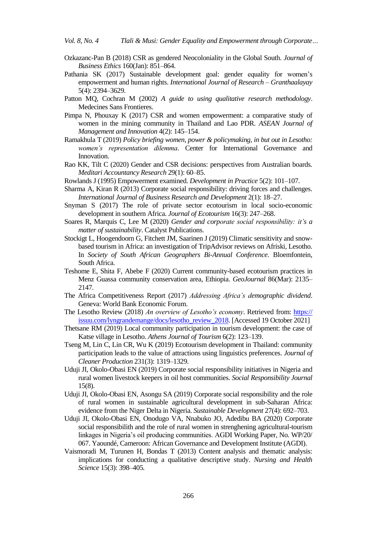- Ozkazanc-Pan B (2018) CSR as gendered Neocoloniality in the Global South. *Journal of Business Ethics* 160(Jan): 851–864.
- Pathania SK (2017) Sustainable development goal: gender equality for women"s empowerment and human rights. *International Journal of Research – Granthaalayay*  5(4): 2394–3629.
- Patton MQ, Cochran M (2002) *A guide to using qualitative research methodology*. Medecines Sans Frontieres.
- Pimpa N, Phouxay K (2017) CSR and women empowerment: a comparative study of women in the mining community in Thailand and Lao PDR. *ASEAN Journal of Management and Innovation* 4(2): 145–154.
- Ramakhula T (2019) *Policy briefing women, power & policymaking, in but out in Lesotho: women's representation dilemma*. Center for International Governance and Innovation.
- Rao KK, Tilt C (2020) Gender and CSR decisions: perspectives from Australian boards. *Meditari Accountancy Research* 29(1): 60–85.
- Rowlands J (1995) Empowerment examined. *Development in Practice* 5(2): 101–107.
- Sharma A, Kiran R (2013) Corporate social responsibility: driving forces and challenges. *International Journal of Business Research and Development* 2(1): 18–27.
- Snyman S (2017) The role of private sector ecotourism in local socio-economic development in southern Africa. *Journal of Ecotourism* 16(3): 247–268.
- Soares R, Marquis C, Lee M (2020) *Gender and corporate social responsibility: it's a matter of sustainability*. Catalyst Publications.
- Stockigt L, Hoogendoorn G, Fitchett JM, Saarinen J (2019) Climatic sensitivity and snowbased tourism in Africa: an investigation of TripAdvisor reviews on Afriski, Lesotho. In *Society of South African Geographers Bi-Annual Conference*. Bloemfontein, South Africa.
- Teshome E, Shita F, Abebe F (2020) Current community-based ecotourism practices in Menz Guassa community conservation area, Ethiopia. *GeoJournal* 86(Mar): 2135– 2147.
- The Africa Competitiveness Report (2017) *Addressing Africa's demographic dividend*. Geneva: World Bank Economic Forum.
- The Lesotho Review (2018) *An overview of Lesotho's economy*. Retrieved from: https:// issuu.com/lyngrandemange/docs/lesotho\_review\_2018. [Accessed 19 October 2021]
- Thetsane RM (2019) Local community participation in tourism development: the case of Katse village in Lesotho. *Athens Journal of Tourism* 6(2): 123–139.
- Tseng M, Lin C, Lin CR, Wu K (2019) Ecotourism development in Thailand: community participation leads to the value of attractions using linguistics preferences. *Journal of Cleaner Production* 231(3): 1319–1329.
- Uduji JI, Okolo-Obasi EN (2019) Corporate social responsibility initiatives in Nigeria and rural women livestock keepers in oil host communities. *Social Responsibility Journal*  15(8).
- Uduji JI, Okolo-Obasi EN, Asongu SA (2019) Corporate social responsibility and the role of rural women in sustainable agricultural development in sub-Saharan Africa: evidence from the Niger Delta in Nigeria. *Sustainable Development* 27(4): 692–703.
- Uduji JI, Okolo-Obasi EN, Onodugo VA, Nnabuko JO, Adedibu BA (2020) Corporate social responsibilith and the role of rural women in strenghening agricultural-tourism linkages in Nigeria"s oil producing communities. AGDI Working Paper, No. WP/20/ 067. Yaoundé, Cameroon: African Governance and Development Institute (AGDI).
- Vaismoradi M, Turunen H, Bondas T (2013) Content analysis and thematic analysis: implications for conducting a qualitative descriptive study. *Nursing and Health Science* 15(3): 398–405*.*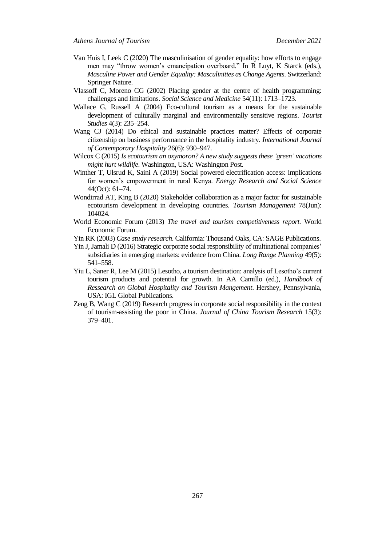- Van Huis I, Leek C (2020) The masculinisation of gender equality: how efforts to engage men may "throw women"s emancipation overboard." In R Luyt, K Starck (eds.), *Masculine Power and Gender Equality: Masculinities as Change Agents*. Switzerland: Springer Nature.
- Vlassoff C, Moreno CG (2002) Placing gender at the centre of health programming: challenges and limitations. *Social Science and Medicine* 54(11): 1713–1723.
- Wallace G, Russell A (2004) Eco-cultural tourism as a means for the sustainable development of culturally marginal and environmentally sensitive regions. *Tourist Studies* 4(3): 235–254.
- Wang CJ (2014) Do ethical and sustainable practices matter? Effects of corporate citizenship on business performance in the hospitality industry. *International Journal of Contemporary Hospitality* 26(6): 930–947.
- Wilcox C (2015) *Is ecotourism an oxymoron? A new study suggests these 'green' vacations might hurt wildlife*. Washington, USA: Washington Post.
- Winther T, Ulsrud K, Saini A (2019) Social powered electrification access: implications for women"s empowerment in rural Kenya. *Energy Research and Social Science* 44(Oct): 61–74.
- Wondirrad AT, King B (2020) Stakeholder collaboration as a major factor for sustainable ecotourism development in developing countries. *Tourism Management* 78(Jun): 104024.
- World Economic Forum (2013) *The travel and tourism competitiveness report.* World Economic Forum.
- Yin RK (2003) *Case study research*. California: Thousand Oaks, CA: SAGE Publications.
- Yin J, Jamali D (2016) Strategic corporate social responsibility of multinational companies" subsidiaries in emerging markets: evidence from China. *Long Range Planning* 49(5): 541–558.
- Yiu L, Saner R, Lee M (2015) Lesotho, a tourism destination: analysis of Lesotho"s current tourism products and potential for growth. In AA Camillo (ed.), *Handbook of Ressearch on Global Hospitality and Tourism Mangement*. Hershey, Pennsylvania, USA: IGL Global Publications.
- Zeng B, Wang C (2019) Research progress in corporate social responsibility in the context of tourism-assisting the poor in China. *Journal of China Tourism Research* 15(3): 379–401.